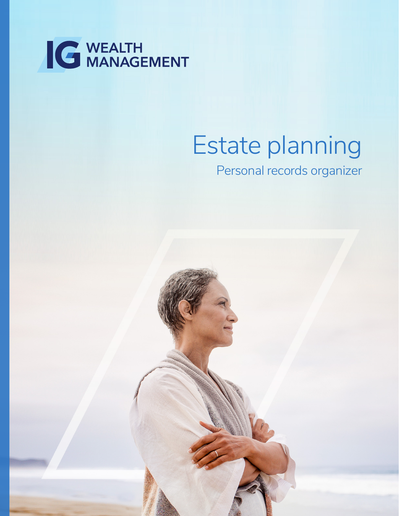

# Estate planning

Personal records organizer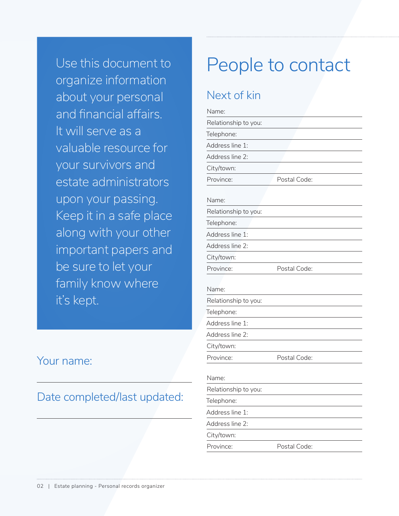Use this document to organize information about your personal and financial affairs. It will serve as a valuable resource for your survivors and estate administrators upon your passing. Keep it in a safe place along with your other important papers and be sure to let your family know where it's kept.

### Your name:

### Date completed/last updated:

## People to contact

### Next of kin

| Name:                |              |
|----------------------|--------------|
| Relationship to you: |              |
| Telephone:           |              |
| Address line 1:      |              |
| Address line 2:      |              |
| City/town:           |              |
| Province:            | Postal Code: |
| Name:                |              |
| Relationship to you: |              |
| Telephone:           |              |
| Address line 1:      |              |
| Address line 2:      |              |
| City/town:           |              |
| Province:            | Postal Code: |
|                      |              |
| Name:                |              |
| Relationship to you: |              |
| Telephone:           |              |
| Address line 1:      |              |
| Address line 2:      |              |
| City/town:           |              |
| Province:            | Postal Code: |
| Name:                |              |
| Relationship to you: |              |
|                      |              |
| Telephone:           |              |
| Address line 1:      |              |
| Address line 2:      |              |
| City/town:           |              |
| Province:            | Postal Code: |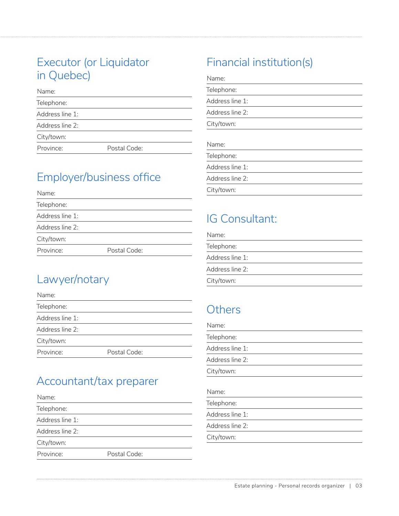### Executor (or Liquidator in Quebec)

| Name:           |              |
|-----------------|--------------|
| Telephone:      |              |
| Address line 1: |              |
| Address line 2: |              |
| City/town:      |              |
| Province:       | Postal Code: |

### Employer/business office

| Name:           |              |  |
|-----------------|--------------|--|
| Telephone:      |              |  |
| Address line 1: |              |  |
| Address line 2: |              |  |
| City/town:      |              |  |
| Province:       | Postal Code: |  |
|                 |              |  |

### Lawyer/notary

| Name:           |              |
|-----------------|--------------|
| Telephone:      |              |
| Address line 1: |              |
| Address line 2: |              |
| City/town:      |              |
| Province:       | Postal Code: |

### Accountant/tax preparer

| Name:           |              |  |
|-----------------|--------------|--|
| Telephone:      |              |  |
| Address line 1: |              |  |
| Address line 2: |              |  |
| City/town:      |              |  |
| Province:       | Postal Code: |  |

### Financial institution(s)

| Telephone:      |  |  |
|-----------------|--|--|
| Address line 1: |  |  |
| Address line 2: |  |  |
| City/town:      |  |  |
| Name:           |  |  |
| Telephone:      |  |  |
| Address line 1: |  |  |
|                 |  |  |

Address line 2:

City/town:

### IG Consultant:

| Name:           |
|-----------------|
| Telephone:      |
| Address line 1: |
| Address line 2: |
| City/town:      |

### **Others**

| Name:           |  |
|-----------------|--|
| Telephone:      |  |
| Address line 1: |  |
| Address line 2: |  |
| City/town:      |  |
| Name:           |  |
| Telephone:      |  |
| Address line 1: |  |
| Address line 2: |  |

City/town: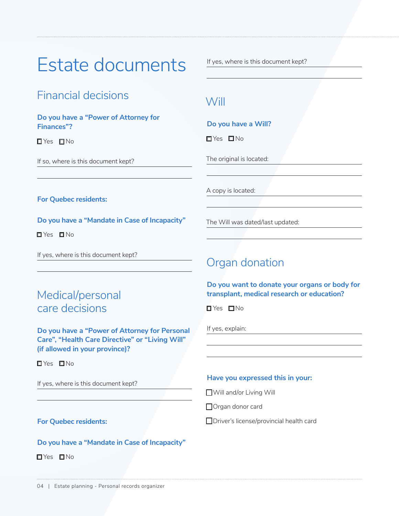## Estate documents

### Financial decisions

#### **Do you have a "Power of Attorney for Finances"?**

**O**Yes **O**No

If so, where is this document kept?

If yes, where is this document kept?

### Will

#### **Do you have a Will?**

**D**Yes DNo

The original is located:

The Will was dated/last updated:

Organ donation

**D**Yes **D**No

If yes, explain:

A copy is located:

**For Quebec residents:**

#### **Do you have a "Mandate in Case of Incapacity"**

**D**Yes **D**No

If yes, where is this document kept?

### Medical/personal care decisions

**Do you have a "Power of Attorney for Personal Care", "Health Care Directive" or "Living Will" (if allowed in your province)?** 

**O**Yes ONo

If yes, where is this document kept?

#### **Have you expressed this in your:**

**Do you want to donate your organs or body for transplant, medical research or education?**

Will and/or Living Will

Organ donor card

Driver's license/provincial health card

#### **For Quebec residents:**

#### **Do you have a "Mandate in Case of Incapacity"**

**O**Yes ONo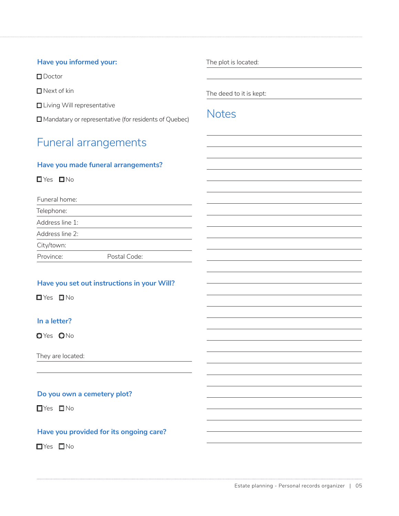#### **Have you informed your:**

■Doctor

 $\n **N**$  Next of kin

 $\Box$  Living Will representative

Mandatary or representative (for residents of Quebec)

### Funeral arrangements

#### **Have you made funeral arrangements?**

**O**Yes **O**No

Funeral home:

Telephone:

Address line 1:

Address line 2:

City/town:

Province: Postal Code:

#### **Have you set out instructions in your Will?**

**O**Yes ONo

#### **In a letter?**

OYes ONo

They are located:

#### **Do you own a cemetery plot?**

TYes **No** 

#### **Have you provided for its ongoing care?**

**No**Yes  $\Box$  No

The plot is located:

The deed to it is kept:

### **Notes**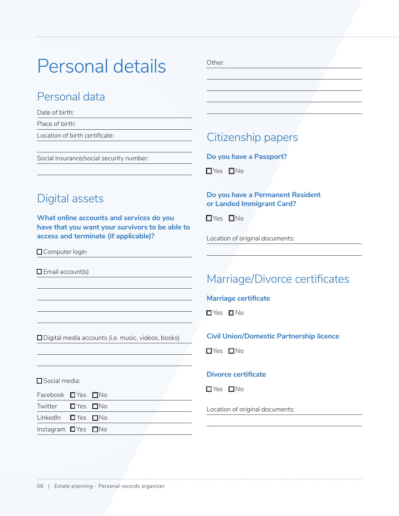## Personal details

### Personal data

Date of birth:

Place of birth:

Location of birth certificate:

Social insurance/social security number:

#### Other:

### Citizenship papers

**Do you have a Passport?**

**T**Yes **No** 

### Digital assets

**What online accounts and services do you have that you want your survivors to be able to access and terminate (if applicable)?** 

□ Computer login

 $\Box$  Email account(s)

□ Digital media accounts (i.e. music, videos, books)

Social media:

| Facebook ■ Yes ■ No           |  |  |
|-------------------------------|--|--|
| Twitter $\Box$ Yes $\Box$ No  |  |  |
| LinkedIn $\Box$ Yes $\Box$ No |  |  |
| Instagram ■ Yes ■ No          |  |  |

#### **Do you have a Permanent Resident or Landed Immigrant Card?**

 $\Box$  Yes  $\Box$  No

Location of original documents:

### Marriage/Divorce certificates

**Marriage certificate** 

**O**Yes ONo

#### **Civil Union/Domestic Partnership licence**

**T**Yes **No** 

#### **Divorce certificate**

**T**Yes **No** 

Location of original documents: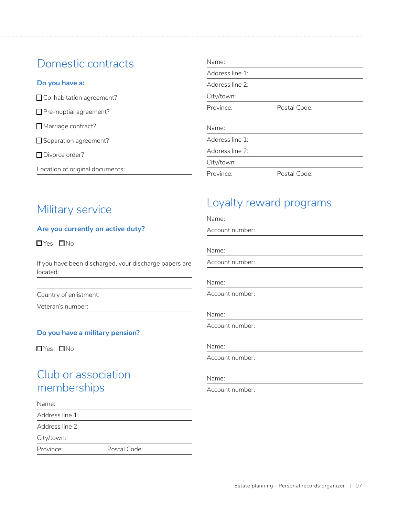### Domestic contracts

#### **Do you have a:**

□Co-habitation agreement?

Pre-nuptial agreement?

Marriage contract?

Separation agreement?

□Divorce order?

Location of original documents:

|  | Military service |
|--|------------------|
|  |                  |

#### **Are you currently on active duty?**

**O**Yes ONo

If you have been discharged, your discharge papers are located:

Country of enlistment:

Veteran's number:

#### **Do you have a military pension?**

**O**Yes ONo

### Club or association memberships

Name:

Address line 1:

Address line 2:

City/town:

Province: Postal Code:

| Name:           |              |  |
|-----------------|--------------|--|
| Address line 1: |              |  |
| Address line 2: |              |  |
| City/town:      |              |  |
| Province:       | Postal Code: |  |
|                 |              |  |
| Name:           |              |  |
| Address line 1: |              |  |
| Address line 2: |              |  |
| City/town:      |              |  |

### Loyalty reward programs

Province: Postal Code:

| Name:           |  |  |
|-----------------|--|--|
| Account number: |  |  |
| Name:           |  |  |
| Account number: |  |  |
| Name:           |  |  |
| Account number: |  |  |
| Name:           |  |  |
| Account number: |  |  |
| Name:           |  |  |
| Account number: |  |  |
|                 |  |  |
| Name:           |  |  |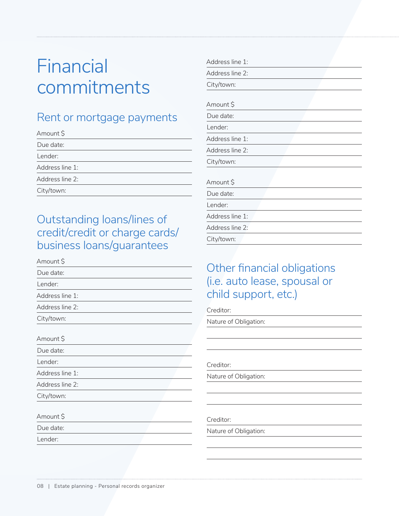## Financial commitments

### Rent or mortgage payments

| Amount \$       |  |
|-----------------|--|
| Due date:       |  |
| Lender:         |  |
| Address line 1: |  |
| Address line 2: |  |
| City/town:      |  |
|                 |  |

### Outstanding loans/lines of credit/credit or charge cards/ business loans/guarantees

| <u>pash ress fouris, guarantees</u> |
|-------------------------------------|
| Amount \$                           |
| Due date:                           |
| Lender:                             |
| Address line 1:                     |
| Address line 2:                     |
| City/town:                          |
| Amount \$                           |
| Due date:                           |
| Lender:                             |
| Address line 1:                     |
| Address line 2:                     |
| City/town:                          |
| Amount \$                           |
| Due date:                           |
| Lender:                             |

| Address line 1: |  |
|-----------------|--|
| Address line 2: |  |
| City/town:      |  |
|                 |  |
| Amount \$       |  |
| Due date:       |  |
| Lender:         |  |
| Address line 1: |  |
| Address line 2: |  |
| City/town:      |  |
|                 |  |
| Amount \$       |  |
| Due date:       |  |
| Lender:         |  |
| Address line 1: |  |
| Address line 2: |  |
| City/town:      |  |

### Other financial obligations (i.e. auto lease, spousal or child support, etc.)

Creditor:

Nature of Obligation:

Creditor:

Nature of Obligation:

Creditor:

Nature of Obligation: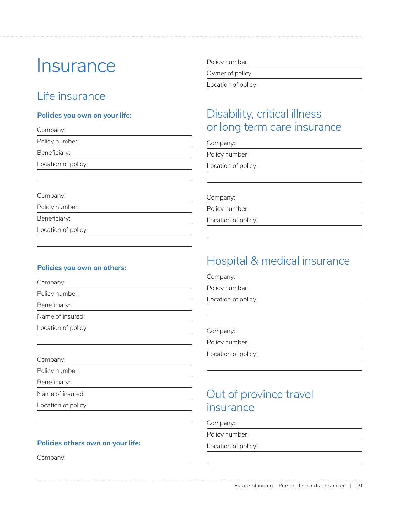## **Insurance**

### Life insurance

#### **Policies you own on your life:**

Company:

Policy number:

Beneficiary:

Company:

Policy number: Beneficiary:

Location of policy:

Location of policy:

### Policy number:

Owner of policy:

Location of policy:

### Disability, critical illness or long term care insurance

Company:

Policy number:

Location of policy:

Company:

Policy number:

Location of policy:

#### **Policies you own on others:**

| Company:            |  |
|---------------------|--|
| Policy number:      |  |
| Beneficiary:        |  |
| Name of insured:    |  |
| Location of policy: |  |
|                     |  |

Company:

Policy number:

Beneficiary:

Name of insured:

Location of policy:

#### **Policies others own on your life:**

Company:

### Hospital & medical insurance

Company:

Policy number:

Location of policy:

Company:

Policy number:

Location of policy:

### Out of province travel insurance

Company:

Policy number:

Location of policy: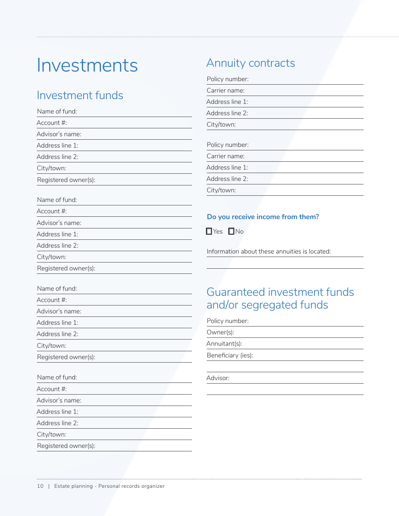## Investments

### Investment funds

| Name of fund:        | Addr         |
|----------------------|--------------|
| Account #:           | City/t       |
| Advisor's name:      |              |
| Address line 1:      | <b>Polic</b> |
| Address line 2:      | Carri        |
| City/town:           | Addr         |
| Registered owner(s): | Addr         |
| Name of fund:        | City/t       |
| Account #:           | Do y         |
| Advisor's name:      |              |
| Address line 1:      | $\Box$ Yes   |
| Address line 2:      | Inforr       |
| City/town:           |              |
| Registered owner(s): |              |
| Name of fund:        | Gu           |
| Account #:           |              |
| Advisor's name:      | and          |
| Address line 1:      | Polic        |
| Address line 2:      | Own          |
| City/town:           | Annu         |
| Registered owner(s): | Bene         |
| Name of fund:        | Advis        |
| Account #:           |              |
| Advisor's name:      |              |
| Address line 1:      |              |
| Address line 2:      |              |
| City/town:           |              |

Registered owner(s):

### Annuity contracts

Policy number:

| Carrier name:   |  |
|-----------------|--|
| Address line 1: |  |
| Address line 2: |  |
| City/town:      |  |
|                 |  |
| Policy number:  |  |
| Carrier name:   |  |
| Address line 1: |  |
| Address line 2: |  |
| City/town:      |  |

### **Pou receive income from them?**

s  $\square$ No

mation about these annuities is located:

### aranteed investment funds d/or segregated funds

y number:

er(s):

iitant(s):

ficiary (ies):

 $\overline{\text{or:}}$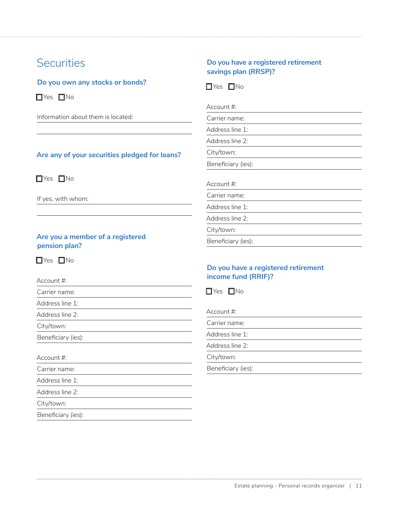### **Securities**

**Do you own any stocks or bonds?**

 $\Box$ Yes  $\Box$ No

Information about them is located:

#### **Are any of your securities pledged for loans?**

 $\Box$  Yes  $\Box$  No

If yes, with whom:

#### **Are you a member of a registered pension plan?**

 $\Box$ Yes  $\Box$ No

Account #:

Carrier name:

Address line 1:

Address line 2:

City/town:

Beneficiary (ies):

#### Account #:

Carrier name:

Address line 1:

Address line 2:

City/town:

Beneficiary (ies):

#### **Do you have a registered retirement savings plan (RRSP)?**

 $\Box$  Yes  $\Box$  No

Account #:

Carrier name:

Address line 1:

Address line 2:

City/town:

Beneficiary (ies):

Account #:

Carrier name:

Address line 1:

Address line 2:

City/town:

Beneficiary (ies):

#### **Do you have a registered retirement income fund (RRIF)?**

 $\Box$  Yes  $\Box$  No

Account #:

Carrier name:

Address line 1:

Address line 2:

City/town:

Beneficiary (ies):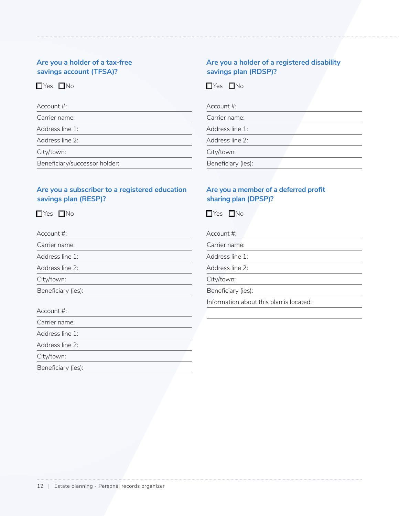#### **Are you a holder of a tax-free savings account (TFSA)?**

### $\Box$ Yes  $\Box$ No

| Account #:                    |
|-------------------------------|
| Carrier name:                 |
| Address line 1:               |
| Address line 2:               |
| City/town:                    |
| Beneficiary/successor holder: |

#### **Are you a subscriber to a registered education savings plan (RESP)?**

 $\Box$ Yes  $\Box$ No

Account #: Carrier name: Address line 1: Address line 2: City/town: Beneficiary (ies):

Account #: Carrier name: Address line 1: Address line 2: City/town:

Beneficiary (ies):

#### **Are you a holder of a registered disability savings plan (RDSP)?**

 $\Box$ Yes  $\Box$ No

| Account $\#$ :     |  |  |
|--------------------|--|--|
| Carrier name:      |  |  |
| Address line 1:    |  |  |
| Address line 2:    |  |  |
| City/town:         |  |  |
| Beneficiary (ies): |  |  |

#### **Are you a member of a deferred profit sharing plan (DPSP)?**

 $\Box$ Yes  $\Box$ No

Account #:

Carrier name:

Address line 1:

Address line 2:

City/town:

Beneficiary (ies):

Information about this plan is located: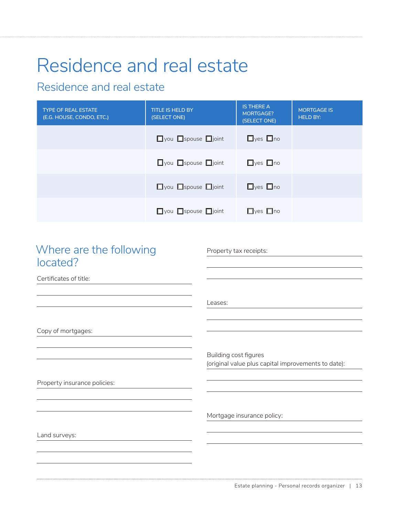## Residence and real estate

### Residence and real estate

| <b>TYPE OF REAL ESTATE</b><br>(E.G. HOUSE, CONDO, ETC.) | <b>TITLE IS HELD BY</b><br>(SELECT ONE) | <b>IS THERE A</b><br>MORTGAGE?<br>(SELECT ONE) | <b>MORTGAGE IS</b><br><b>HELD BY:</b> |
|---------------------------------------------------------|-----------------------------------------|------------------------------------------------|---------------------------------------|
|                                                         | $\Box$ you $\Box$ spouse $\Box$ joint   | $\Box$ yes $\Box$ no                           |                                       |
|                                                         | $\Box$ you $\Box$ spouse $\Box$ joint   | $\Box$ yes $\Box$ no                           |                                       |
|                                                         | $\Box$ you $\Box$ spouse $\Box$ joint   | $\Box$ yes $\Box$ no                           |                                       |
|                                                         | $\Box$ you $\Box$ spouse $\Box$ joint   | $\Box$ yes $\Box$ no                           |                                       |

### Where are the following located?

Property tax receipts:

Leases:

Certificates of title:

Copy of mortgages:

Property insurance policies:

Mortgage insurance policy:

Building cost figures

(original value plus capital improvements to date):

Land surveys: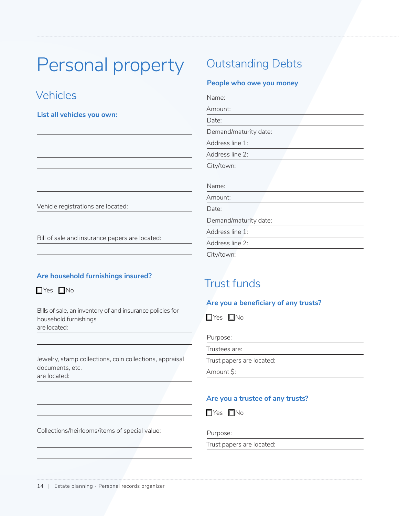## Personal property

### Vehicles

**List all vehicles you own:**

#### Vehicle registrations are located:

Bill of sale and insurance papers are located:

#### **Are household furnishings insured?**

 $\Box$ Yes  $\Box$ No

Bills of sale, an inventory of and insurance policies for household furnishings are located:

Jewelry, stamp collections, coin collections, appraisal documents, etc. are located:

### Outstanding Debts

#### **People who owe you money**

| Name:                 |  |
|-----------------------|--|
| Amount:               |  |
| Date:                 |  |
| Demand/maturity date: |  |
| Address line 1:       |  |
| Address line 2:       |  |
| City/town:            |  |
| Name:                 |  |
| Amount:               |  |
| Date:                 |  |
| Demand/maturity date: |  |
| Address line 1:       |  |
| Address line 2:       |  |
| City/town:            |  |

### Trust funds

#### **Are you a beneficiary of any trusts?**

 $\Box$ Yes  $\Box$ No

| Purpose:                  |
|---------------------------|
| Trustees are:             |
| Trust papers are located: |

Amount \$:

#### **Are you a trustee of any trusts?**

 $\Box$ Yes  $\Box$ No

Purpose:

Trust papers are located:

Collections/heirlooms/items of special value: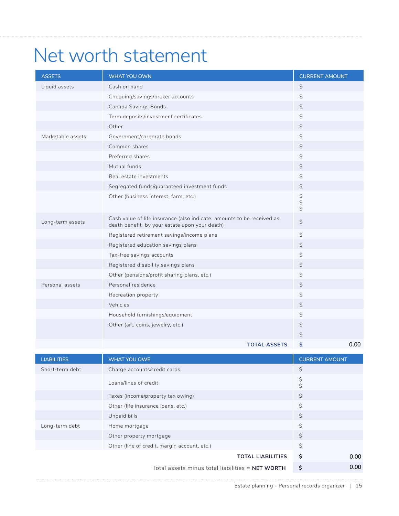## Net worth statement

| <b>ASSETS</b>      | WHAT YOU OWN                                                                                                           | <b>CURRENT AMOUNT</b> |
|--------------------|------------------------------------------------------------------------------------------------------------------------|-----------------------|
| Liquid assets      | Cash on hand                                                                                                           | $\boldsymbol{\zeta}$  |
|                    | Chequing/savings/broker accounts                                                                                       | \$                    |
|                    | Canada Savings Bonds                                                                                                   | $\boldsymbol{\zeta}$  |
|                    | Term deposits/investment certificates                                                                                  | $\varsigma$           |
|                    | Other                                                                                                                  | \$                    |
| Marketable assets  | Government/corporate bonds                                                                                             | $\boldsymbol{\zeta}$  |
|                    | Common shares                                                                                                          | \$                    |
|                    | Preferred shares                                                                                                       | \$                    |
|                    | Mutual funds                                                                                                           | $\boldsymbol{\zeta}$  |
|                    | Real estate investments                                                                                                | \$                    |
|                    | Segregated funds/guaranteed investment funds                                                                           | $\varsigma$           |
|                    | Other (business interest, farm, etc.)                                                                                  | らさけ                   |
| Long-term assets   | Cash value of life insurance (also indicate amounts to be received as<br>death benefit by your estate upon your death) | $\boldsymbol{\zeta}$  |
|                    | Registered retirement savings/income plans                                                                             | $\varsigma$           |
|                    | Registered education savings plans                                                                                     | \$                    |
|                    | Tax-free savings accounts                                                                                              | $\varsigma$           |
|                    | Registered disability savings plans                                                                                    | \$                    |
|                    | Other (pensions/profit sharing plans, etc.)                                                                            | \$                    |
| Personal assets    | Personal residence                                                                                                     | $\varsigma$           |
|                    | Recreation property                                                                                                    | \$                    |
|                    | Vehicles                                                                                                               | \$                    |
|                    | Household furnishings/equipment                                                                                        | \$                    |
|                    | Other (art, coins, jewelry, etc.)                                                                                      | \$                    |
|                    |                                                                                                                        | \$                    |
|                    | <b>TOTAL ASSETS</b>                                                                                                    | \$<br>0.00            |
| <b>LIABILITIES</b> | <b>WHAT YOU OWE</b>                                                                                                    | <b>CURRENT AMOUNT</b> |
| Short-term debt    | Charge accounts/credit cards                                                                                           | \$                    |
|                    | Loans/lines of credit                                                                                                  | \$<br>¢               |

|                | Loans/lines of credit                            |    |      |
|----------------|--------------------------------------------------|----|------|
|                | Taxes (income/property tax owing)                | \$ |      |
|                | Other (life insurance loans, etc.)               | \$ |      |
|                | Unpaid bills                                     | \$ |      |
| Long-term debt | Home mortgage                                    | \$ |      |
|                | Other property mortgage                          | \$ |      |
|                | Other (line of credit, margin account, etc.)     | \$ |      |
|                | <b>TOTAL LIABILITIES</b>                         | \$ | 0.00 |
|                | Total assets minus total liabilities = NET WORTH | Ś  | 0.00 |

Total assets minus total liabilities = **NET WORTH \$**

. . . . . .